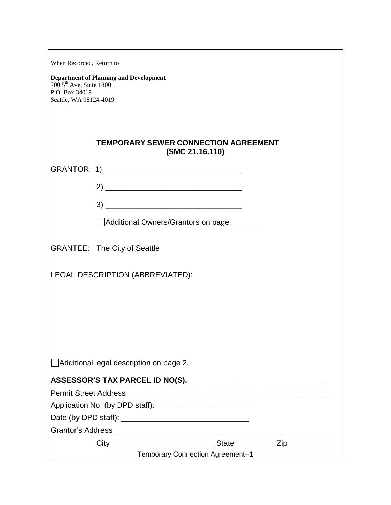| When Recorded, Return to                                                                               |                                                                |  |  |
|--------------------------------------------------------------------------------------------------------|----------------------------------------------------------------|--|--|
| <b>Department of Planning and Development</b><br>700 5 <sup>th</sup> Ave, Suite 1800<br>P.O. Box 34019 |                                                                |  |  |
| Seattle, WA 98124-4019                                                                                 |                                                                |  |  |
|                                                                                                        |                                                                |  |  |
|                                                                                                        | <b>TEMPORARY SEWER CONNECTION AGREEMENT</b><br>(SMC 21.16.110) |  |  |
|                                                                                                        |                                                                |  |  |
|                                                                                                        |                                                                |  |  |
|                                                                                                        | $\begin{tabular}{c} 3) \end{tabular}$                          |  |  |
|                                                                                                        | Additional Owners/Grantors on page _____                       |  |  |
|                                                                                                        |                                                                |  |  |
|                                                                                                        | <b>GRANTEE: The City of Seattle</b>                            |  |  |
| LEGAL DESCRIPTION (ABBREVIATED):                                                                       |                                                                |  |  |
|                                                                                                        |                                                                |  |  |
|                                                                                                        |                                                                |  |  |
|                                                                                                        |                                                                |  |  |
|                                                                                                        |                                                                |  |  |
|                                                                                                        |                                                                |  |  |
|                                                                                                        | Additional legal description on page 2.                        |  |  |
|                                                                                                        |                                                                |  |  |
|                                                                                                        |                                                                |  |  |
|                                                                                                        |                                                                |  |  |
|                                                                                                        |                                                                |  |  |
|                                                                                                        |                                                                |  |  |
|                                                                                                        | <b>Temporary Connection Agreement--1</b>                       |  |  |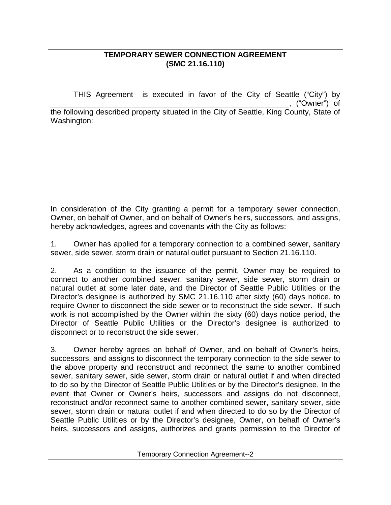## **TEMPORARY SEWER CONNECTION AGREEMENT (SMC 21.16.110)**

THIS Agreement is executed in favor of the City of Seattle ("City") by \_\_\_\_\_\_\_\_\_\_\_\_\_\_\_\_\_\_\_\_\_\_\_\_\_\_\_\_\_\_\_\_\_\_\_\_\_\_\_\_\_\_\_\_\_\_\_\_\_\_\_\_\_\_\_\_, ("Owner") of

the following described property situated in the City of Seattle, King County, State of Washington:

In consideration of the City granting a permit for a temporary sewer connection, Owner, on behalf of Owner, and on behalf of Owner's heirs, successors, and assigns, hereby acknowledges, agrees and covenants with the City as follows:

1. Owner has applied for a temporary connection to a combined sewer, sanitary sewer, side sewer, storm drain or natural outlet pursuant to Section 21.16.110.

2. As a condition to the issuance of the permit, Owner may be required to connect to another combined sewer, sanitary sewer, side sewer, storm drain or natural outlet at some later date, and the Director of Seattle Public Utilities or the Director's designee is authorized by SMC 21.16.110 after sixty (60) days notice, to require Owner to disconnect the side sewer or to reconstruct the side sewer. If such work is not accomplished by the Owner within the sixty (60) days notice period, the Director of Seattle Public Utilities or the Director's designee is authorized to disconnect or to reconstruct the side sewer.

3. Owner hereby agrees on behalf of Owner, and on behalf of Owner's heirs, successors, and assigns to disconnect the temporary connection to the side sewer to the above property and reconstruct and reconnect the same to another combined sewer, sanitary sewer, side sewer, storm drain or natural outlet if and when directed to do so by the Director of Seattle Public Utilities or by the Director's designee. In the event that Owner or Owner's heirs, successors and assigns do not disconnect, reconstruct and/or reconnect same to another combined sewer, sanitary sewer, side sewer, storm drain or natural outlet if and when directed to do so by the Director of Seattle Public Utilities or by the Director's designee, Owner, on behalf of Owner's heirs, successors and assigns, authorizes and grants permission to the Director of

Temporary Connection Agreement--2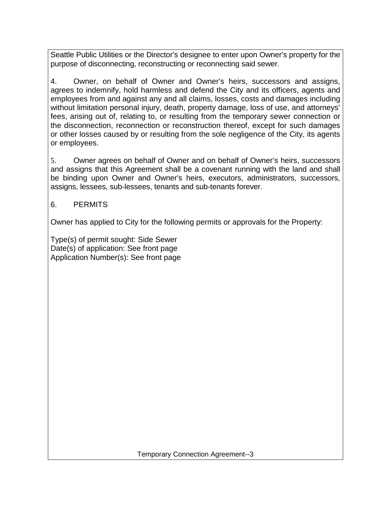Seattle Public Utilities or the Director's designee to enter upon Owner's property for the purpose of disconnecting, reconstructing or reconnecting said sewer.

4. Owner, on behalf of Owner and Owner's heirs, successors and assigns, agrees to indemnify, hold harmless and defend the City and its officers, agents and employees from and against any and all claims, losses, costs and damages including without limitation personal injury, death, property damage, loss of use, and attorneys' fees, arising out of, relating to, or resulting from the temporary sewer connection or the disconnection, reconnection or reconstruction thereof, except for such damages or other losses caused by or resulting from the sole negligence of the City, its agents or employees.

5. Owner agrees on behalf of Owner and on behalf of Owner's heirs, successors and assigns that this Agreement shall be a covenant running with the land and shall be binding upon Owner and Owner's heirs, executors, administrators, successors, assigns, lessees, sub-lessees, tenants and sub-tenants forever.

## 6. PERMITS

Owner has applied to City for the following permits or approvals for the Property:

Type(s) of permit sought: Side Sewer Date(s) of application: See front page Application Number(s): See front page

Temporary Connection Agreement--3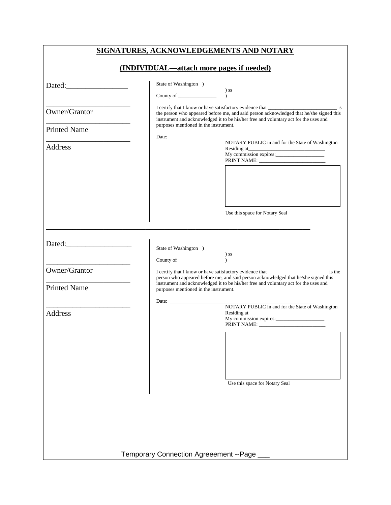|                                                                                                                                                                                                                                                                                          | SIGNATURES, ACKNOWLEDGEMENTS AND NOTARY                                                                                                                                                                                                                                                                                                                                                                                                                                                       |  |  |
|------------------------------------------------------------------------------------------------------------------------------------------------------------------------------------------------------------------------------------------------------------------------------------------|-----------------------------------------------------------------------------------------------------------------------------------------------------------------------------------------------------------------------------------------------------------------------------------------------------------------------------------------------------------------------------------------------------------------------------------------------------------------------------------------------|--|--|
| (INDIVIDUAL—attach more pages if needed)                                                                                                                                                                                                                                                 |                                                                                                                                                                                                                                                                                                                                                                                                                                                                                               |  |  |
| Dated:                                                                                                                                                                                                                                                                                   | State of Washington )<br>$)$ ss<br>County of $\frac{1}{\sqrt{1-\frac{1}{2}}}\right)$<br>$\mathcal{L}$                                                                                                                                                                                                                                                                                                                                                                                         |  |  |
| Owner/Grantor                                                                                                                                                                                                                                                                            | the person who appeared before me, and said person acknowledged that he/she signed this<br>instrument and acknowledged it to be his/her free and voluntary act for the uses and                                                                                                                                                                                                                                                                                                               |  |  |
| <b>Printed Name</b>                                                                                                                                                                                                                                                                      | purposes mentioned in the instrument.<br>NOTARY PUBLIC in and for the State of Washington                                                                                                                                                                                                                                                                                                                                                                                                     |  |  |
| Address                                                                                                                                                                                                                                                                                  |                                                                                                                                                                                                                                                                                                                                                                                                                                                                                               |  |  |
|                                                                                                                                                                                                                                                                                          | Use this space for Notary Seal                                                                                                                                                                                                                                                                                                                                                                                                                                                                |  |  |
|                                                                                                                                                                                                                                                                                          | State of Washington )<br>$\begin{tabular}{c} \multicolumn{2}{c}{\textbf{C} } & \multicolumn{2}{c}{\textbf{D} } \\ \multicolumn{2}{c}{\textbf{C} } & \multicolumn{2}{c}{\textbf{D} } \\ \multicolumn{2}{c}{\textbf{C} } & \multicolumn{2}{c}{\textbf{D} } \\ \multicolumn{2}{c}{\textbf{D} } & \multicolumn{2}{c}{\textbf{D} } \\ \multicolumn{2}{c}{\textbf{D} } & \multicolumn{2}{c}{\textbf{D} } \\ \multicolumn{2}{c}{\textbf{D} } & \multicolumn{2}{c}{\textbf{D} } \\ \multicolumn{2}{c$ |  |  |
| Owner/Grantor<br>I certify that I know or have satisfactory evidence that ________________________ is the<br>person who appeared before me, and said person acknowledged that he/she signed this<br>instrument and acknowledged it to be his/her free and voluntary act for the uses and |                                                                                                                                                                                                                                                                                                                                                                                                                                                                                               |  |  |
| <b>Printed Name</b>                                                                                                                                                                                                                                                                      | purposes mentioned in the instrument.                                                                                                                                                                                                                                                                                                                                                                                                                                                         |  |  |
| <b>Address</b>                                                                                                                                                                                                                                                                           | NOTARY PUBLIC in and for the State of Washington                                                                                                                                                                                                                                                                                                                                                                                                                                              |  |  |
|                                                                                                                                                                                                                                                                                          | Use this space for Notary Seal                                                                                                                                                                                                                                                                                                                                                                                                                                                                |  |  |
|                                                                                                                                                                                                                                                                                          | <b>Temporary Connection Agreeement -- Page</b>                                                                                                                                                                                                                                                                                                                                                                                                                                                |  |  |